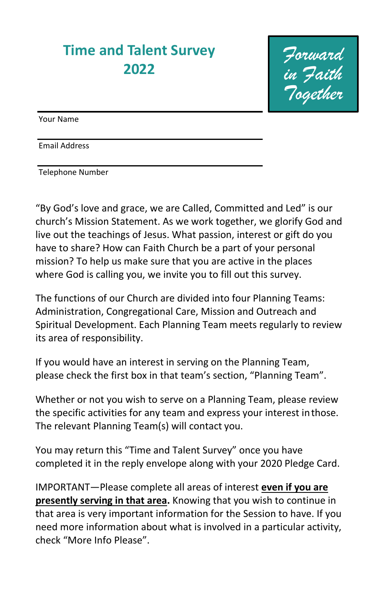## **Time and Talent Survey 2022**

*Forward in Faith Together*

Your Name

Email Address

Telephone Number

"By God's love and grace, we are Called, Committed and Led" is our church's Mission Statement. As we work together, we glorify God and live out the teachings of Jesus. What passion, interest or gift do you have to share? How can Faith Church be a part of your personal mission? To help us make sure that you are active in the places where God is calling you, we invite you to fill out this survey.

The functions of our Church are divided into four Planning Teams: Administration, Congregational Care, Mission and Outreach and Spiritual Development. Each Planning Team meets regularly to review its area of responsibility.

If you would have an interest in serving on the Planning Team, please check the first box in that team's section, "Planning Team".

Whether or not you wish to serve on a Planning Team, please review the specific activities for any team and express your interest inthose. The relevant Planning Team(s) will contact you.

You may return this "Time and Talent Survey" once you have completed it in the reply envelope along with your 2020 Pledge Card.

IMPORTANT—Please complete all areas of interest **even if you are presently serving in that area.** Knowing that you wish to continue in that area is very important information for the Session to have. If you need more information about what is involved in a particular activity, check "More Info Please".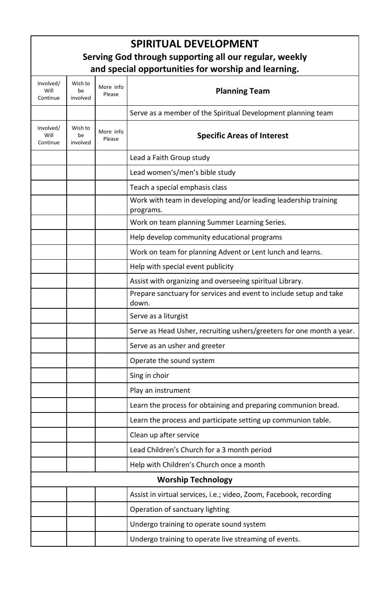| <b>SPIRITUAL DEVELOPMENT</b>                           |                           |                     |                                                                              |  |
|--------------------------------------------------------|---------------------------|---------------------|------------------------------------------------------------------------------|--|
| Serving God through supporting all our regular, weekly |                           |                     |                                                                              |  |
|                                                        |                           |                     | and special opportunities for worship and learning.                          |  |
| Involved/<br>Will<br>Continue                          | Wish to<br>be<br>involved | More info<br>Please | <b>Planning Team</b>                                                         |  |
|                                                        |                           |                     | Serve as a member of the Spiritual Development planning team                 |  |
| Involved/<br>Will<br>Continue                          | Wish to<br>be<br>involved | More info<br>Please | <b>Specific Areas of Interest</b>                                            |  |
|                                                        |                           |                     | Lead a Faith Group study                                                     |  |
|                                                        |                           |                     | Lead women's/men's bible study                                               |  |
|                                                        |                           |                     | Teach a special emphasis class                                               |  |
|                                                        |                           |                     | Work with team in developing and/or leading leadership training<br>programs. |  |
|                                                        |                           |                     | Work on team planning Summer Learning Series.                                |  |
|                                                        |                           |                     | Help develop community educational programs                                  |  |
|                                                        |                           |                     | Work on team for planning Advent or Lent lunch and learns.                   |  |
|                                                        |                           |                     | Help with special event publicity                                            |  |
|                                                        |                           |                     | Assist with organizing and overseeing spiritual Library.                     |  |
|                                                        |                           |                     | Prepare sanctuary for services and event to include setup and take<br>down.  |  |
|                                                        |                           |                     | Serve as a liturgist                                                         |  |
|                                                        |                           |                     | Serve as Head Usher, recruiting ushers/greeters for one month a year.        |  |
|                                                        |                           |                     | Serve as an usher and greeter                                                |  |
|                                                        |                           |                     | Operate the sound system                                                     |  |
|                                                        |                           |                     | Sing in choir                                                                |  |
|                                                        |                           |                     | Play an instrument                                                           |  |
|                                                        |                           |                     | Learn the process for obtaining and preparing communion bread.               |  |
|                                                        |                           |                     | Learn the process and participate setting up communion table.                |  |
|                                                        |                           |                     | Clean up after service                                                       |  |
|                                                        |                           |                     | Lead Children's Church for a 3 month period                                  |  |
|                                                        |                           |                     | Help with Children's Church once a month                                     |  |
| <b>Worship Technology</b>                              |                           |                     |                                                                              |  |
|                                                        |                           |                     | Assist in virtual services, i.e.; video, Zoom, Facebook, recording           |  |
|                                                        |                           |                     | Operation of sanctuary lighting                                              |  |
|                                                        |                           |                     | Undergo training to operate sound system                                     |  |
|                                                        |                           |                     | Undergo training to operate live streaming of events.                        |  |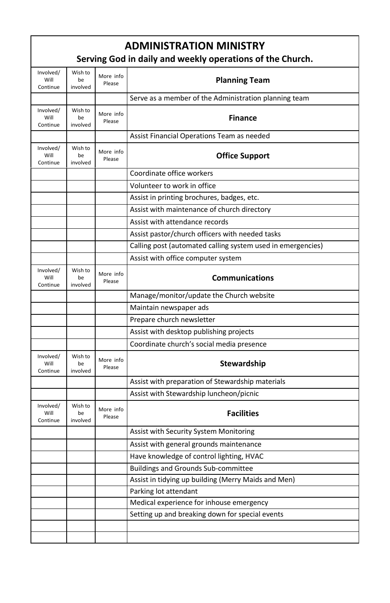| <b>ADMINISTRATION MINISTRY</b><br>Serving God in daily and weekly operations of the Church. |                           |                     |                                                             |  |
|---------------------------------------------------------------------------------------------|---------------------------|---------------------|-------------------------------------------------------------|--|
| Involved/<br>Will<br>Continue                                                               | Wish to<br>he<br>involved | More info<br>Please | <b>Planning Team</b>                                        |  |
|                                                                                             |                           |                     | Serve as a member of the Administration planning team       |  |
| Involved/<br>Will<br>Continue                                                               | Wish to<br>be<br>involved | More info<br>Please | <b>Finance</b>                                              |  |
|                                                                                             |                           |                     | Assist Financial Operations Team as needed                  |  |
| Involved/<br>Will<br>Continue                                                               | Wish to<br>be<br>involved | More info<br>Please | <b>Office Support</b>                                       |  |
|                                                                                             |                           |                     | Coordinate office workers                                   |  |
|                                                                                             |                           |                     | Volunteer to work in office                                 |  |
|                                                                                             |                           |                     | Assist in printing brochures, badges, etc.                  |  |
|                                                                                             |                           |                     | Assist with maintenance of church directory                 |  |
|                                                                                             |                           |                     | Assist with attendance records                              |  |
|                                                                                             |                           |                     | Assist pastor/church officers with needed tasks             |  |
|                                                                                             |                           |                     | Calling post (automated calling system used in emergencies) |  |
|                                                                                             |                           |                     | Assist with office computer system                          |  |
| Involved/<br>Will<br>Continue                                                               | Wish to<br>be<br>involved | More info<br>Please | <b>Communications</b>                                       |  |
|                                                                                             |                           |                     | Manage/monitor/update the Church website                    |  |
|                                                                                             |                           |                     | Maintain newspaper ads                                      |  |
|                                                                                             |                           |                     | Prepare church newsletter                                   |  |
|                                                                                             |                           |                     | Assist with desktop publishing projects                     |  |
|                                                                                             |                           |                     | Coordinate church's social media presence                   |  |
| Involved/<br>Will<br>Continue                                                               | Wish to<br>be<br>involved | More info<br>Please | <b>Stewardship</b>                                          |  |
|                                                                                             |                           |                     | Assist with preparation of Stewardship materials            |  |
|                                                                                             |                           |                     | Assist with Stewardship luncheon/picnic                     |  |
| Involved/<br>Will<br>Continue                                                               | Wish to<br>be<br>involved | More info<br>Please | <b>Facilities</b>                                           |  |
|                                                                                             |                           |                     | Assist with Security System Monitoring                      |  |
|                                                                                             |                           |                     | Assist with general grounds maintenance                     |  |
|                                                                                             |                           |                     | Have knowledge of control lighting, HVAC                    |  |
|                                                                                             |                           |                     | <b>Buildings and Grounds Sub-committee</b>                  |  |
|                                                                                             |                           |                     | Assist in tidying up building (Merry Maids and Men)         |  |
|                                                                                             |                           |                     | Parking lot attendant                                       |  |
|                                                                                             |                           |                     | Medical experience for inhouse emergency                    |  |
|                                                                                             |                           |                     | Setting up and breaking down for special events             |  |
|                                                                                             |                           |                     |                                                             |  |
|                                                                                             |                           |                     |                                                             |  |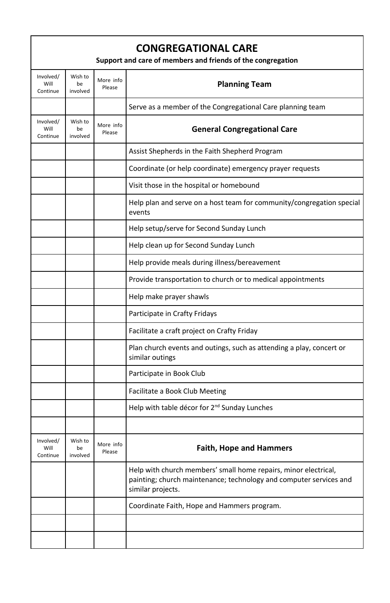| <b>CONGREGATIONAL CARE</b><br>Support and care of members and friends of the congregation |                           |                     |                                                                                                                                                            |
|-------------------------------------------------------------------------------------------|---------------------------|---------------------|------------------------------------------------------------------------------------------------------------------------------------------------------------|
| Involved/<br>Will<br>Continue                                                             | Wish to<br>be<br>involved | More info<br>Please | <b>Planning Team</b>                                                                                                                                       |
|                                                                                           |                           |                     | Serve as a member of the Congregational Care planning team                                                                                                 |
| Involved/<br>Will<br>Continue                                                             | Wish to<br>be<br>involved | More info<br>Please | <b>General Congregational Care</b>                                                                                                                         |
|                                                                                           |                           |                     | Assist Shepherds in the Faith Shepherd Program                                                                                                             |
|                                                                                           |                           |                     | Coordinate (or help coordinate) emergency prayer requests                                                                                                  |
|                                                                                           |                           |                     | Visit those in the hospital or homebound                                                                                                                   |
|                                                                                           |                           |                     | Help plan and serve on a host team for community/congregation special<br>events                                                                            |
|                                                                                           |                           |                     | Help setup/serve for Second Sunday Lunch                                                                                                                   |
|                                                                                           |                           |                     | Help clean up for Second Sunday Lunch                                                                                                                      |
|                                                                                           |                           |                     | Help provide meals during illness/bereavement                                                                                                              |
|                                                                                           |                           |                     | Provide transportation to church or to medical appointments                                                                                                |
|                                                                                           |                           |                     | Help make prayer shawls                                                                                                                                    |
|                                                                                           |                           |                     | Participate in Crafty Fridays                                                                                                                              |
|                                                                                           |                           |                     | Facilitate a craft project on Crafty Friday                                                                                                                |
|                                                                                           |                           |                     | Plan church events and outings, such as attending a play, concert or<br>similar outings                                                                    |
|                                                                                           |                           |                     | Participate in Book Club                                                                                                                                   |
|                                                                                           |                           |                     | Facilitate a Book Club Meeting                                                                                                                             |
|                                                                                           |                           |                     | Help with table décor for 2 <sup>nd</sup> Sunday Lunches                                                                                                   |
|                                                                                           |                           |                     |                                                                                                                                                            |
| Involved/<br>Will<br>Continue                                                             | Wish to<br>be<br>involved | More info<br>Please | <b>Faith, Hope and Hammers</b>                                                                                                                             |
|                                                                                           |                           |                     | Help with church members' small home repairs, minor electrical,<br>painting; church maintenance; technology and computer services and<br>similar projects. |
|                                                                                           |                           |                     | Coordinate Faith, Hope and Hammers program.                                                                                                                |
|                                                                                           |                           |                     |                                                                                                                                                            |
|                                                                                           |                           |                     |                                                                                                                                                            |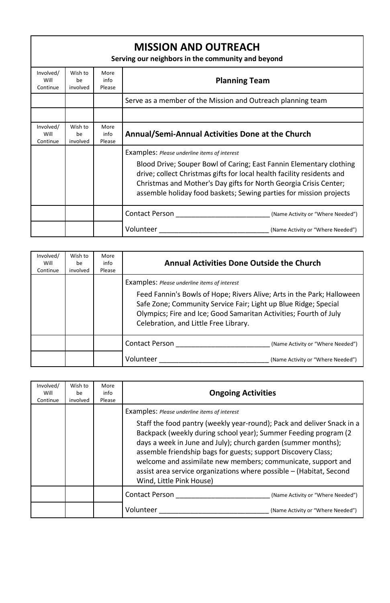| <b>MISSION AND OUTREACH</b><br>Serving our neighbors in the community and beyond |                           |                        |                                                                                                                                                                                                                                                                                                                                          |  |
|----------------------------------------------------------------------------------|---------------------------|------------------------|------------------------------------------------------------------------------------------------------------------------------------------------------------------------------------------------------------------------------------------------------------------------------------------------------------------------------------------|--|
| Involved/<br>Will<br>Continue                                                    | Wish to<br>be<br>involved | More<br>info<br>Please | <b>Planning Team</b>                                                                                                                                                                                                                                                                                                                     |  |
|                                                                                  |                           |                        | Serve as a member of the Mission and Outreach planning team                                                                                                                                                                                                                                                                              |  |
|                                                                                  |                           |                        |                                                                                                                                                                                                                                                                                                                                          |  |
| Involved/<br>Will<br>Continue                                                    | Wish to<br>be<br>involved | More<br>info<br>Please | Annual/Semi-Annual Activities Done at the Church                                                                                                                                                                                                                                                                                         |  |
|                                                                                  |                           |                        | Examples: Please underline items of interest<br>Blood Drive; Souper Bowl of Caring; East Fannin Elementary clothing<br>drive; collect Christmas gifts for local health facility residents and<br>Christmas and Mother's Day gifts for North Georgia Crisis Center;<br>assemble holiday food baskets; Sewing parties for mission projects |  |
|                                                                                  |                           |                        | Contact Person <b>Exercise Services</b><br>(Name Activity or "Where Needed")                                                                                                                                                                                                                                                             |  |
|                                                                                  |                           |                        | Volunteer<br>(Name Activity or "Where Needed")                                                                                                                                                                                                                                                                                           |  |

| Involved/<br>Will<br>Continue | Wish to<br>he<br>involved | More<br>info<br>Please | <b>Annual Activities Done Outside the Church</b>                                                                                                                                                                                                                                                               |
|-------------------------------|---------------------------|------------------------|----------------------------------------------------------------------------------------------------------------------------------------------------------------------------------------------------------------------------------------------------------------------------------------------------------------|
|                               |                           |                        | <b>Examples:</b> Please underline items of interest<br>Feed Fannin's Bowls of Hope; Rivers Alive; Arts in the Park; Halloween<br>Safe Zone; Community Service Fair; Light up Blue Ridge; Special<br>Olympics; Fire and Ice; Good Samaritan Activities; Fourth of July<br>Celebration, and Little Free Library. |
|                               |                           |                        | <b>Contact Person</b><br>(Name Activity or "Where Needed")                                                                                                                                                                                                                                                     |
|                               |                           |                        | Volunteer<br>(Name Activity or "Where Needed")                                                                                                                                                                                                                                                                 |

| Involved/<br>Will<br>Continue | Wish to<br>be<br>involved | More<br>info<br>Please | <b>Ongoing Activities</b>                                                                                                                                                                                                                                                                                                                                                                                                                                                                       |
|-------------------------------|---------------------------|------------------------|-------------------------------------------------------------------------------------------------------------------------------------------------------------------------------------------------------------------------------------------------------------------------------------------------------------------------------------------------------------------------------------------------------------------------------------------------------------------------------------------------|
|                               |                           |                        | Examples: Please underline items of interest<br>Staff the food pantry (weekly year-round); Pack and deliver Snack in a<br>Backpack (weekly during school year); Summer Feeding program (2)<br>days a week in June and July); church garden (summer months);<br>assemble friendship bags for guests; support Discovery Class;<br>welcome and assimilate new members; communicate, support and<br>assist area service organizations where possible - (Habitat, Second<br>Wind, Little Pink House) |
|                               |                           |                        | <b>Contact Person</b><br>(Name Activity or "Where Needed")                                                                                                                                                                                                                                                                                                                                                                                                                                      |
|                               |                           |                        | Volunteer<br>(Name Activity or "Where Needed")                                                                                                                                                                                                                                                                                                                                                                                                                                                  |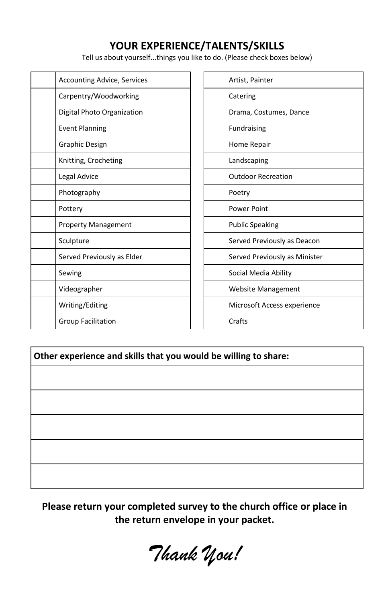#### **YOUR EXPERIENCE/TALENTS/SKILLS**

Tell us about yourself...things you like to do. (Please check boxes below)

| <b>Accounting Advice, Services</b> | Artist, Painter               |
|------------------------------------|-------------------------------|
| Carpentry/Woodworking              | Catering                      |
| Digital Photo Organization         | Drama, Costumes, Dance        |
| <b>Event Planning</b>              | Fundraising                   |
| Graphic Design                     | Home Repair                   |
| Knitting, Crocheting               | Landscaping                   |
| Legal Advice                       | <b>Outdoor Recreation</b>     |
| Photography                        | Poetry                        |
| Pottery                            | <b>Power Point</b>            |
| <b>Property Management</b>         | <b>Public Speaking</b>        |
| Sculpture                          | Served Previously as Deacon   |
| Served Previously as Elder         | Served Previously as Minister |
| Sewing                             | Social Media Ability          |
| Videographer                       | <b>Website Management</b>     |
| Writing/Editing                    | Microsoft Access experience   |
| <b>Group Facilitation</b>          | Crafts                        |
|                                    |                               |

| Artist, Painter               |
|-------------------------------|
| Catering                      |
| Drama, Costumes, Dance        |
| <b>Fundraising</b>            |
| Home Repair                   |
| Landscaping                   |
| <b>Outdoor Recreation</b>     |
| Poetry                        |
| <b>Power Point</b>            |
| <b>Public Speaking</b>        |
| Served Previously as Deacon   |
| Served Previously as Minister |
| Social Media Ability          |
| <b>Website Management</b>     |
| Microsoft Access experience   |
| Crafts                        |
|                               |

**Other experience and skills that you would be willing to share:**

**Please return your completed survey to the church office or place in the return envelope in your packet.**

*Thank You!*